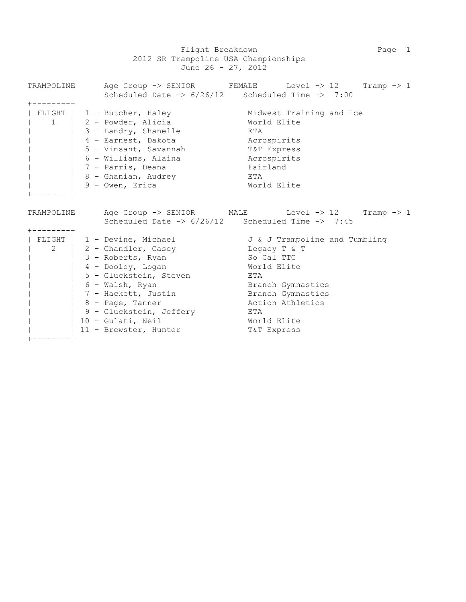Flight Breakdown **Page 1** Page 1 2012 SR Trampoline USA Championships June 26 - 27, 2012

|                     |  | TRAMPOLINE Age Group -> SENIOR FEMALE Level -> 12 Tramp -> 1           |                               |                   |  |  |  |  |
|---------------------|--|------------------------------------------------------------------------|-------------------------------|-------------------|--|--|--|--|
|                     |  | Scheduled Date $\rightarrow$ 6/26/12 Scheduled Time $\rightarrow$ 7:00 |                               |                   |  |  |  |  |
| $+ - - - - - - - +$ |  |                                                                        |                               |                   |  |  |  |  |
|                     |  | FLIGHT   1 - Butcher, Haley                                            | Midwest Training and Ice      |                   |  |  |  |  |
|                     |  | 1   2 - Powder, Alicia                                                 |                               | World Elite       |  |  |  |  |
|                     |  | 3 - Landry, Shanelle                                                   | ETA                           |                   |  |  |  |  |
|                     |  | 4 - Earnest, Dakota                                                    | Acrospirits                   |                   |  |  |  |  |
|                     |  | 5 - Vinsant, Savannah                                                  | T&T Express                   |                   |  |  |  |  |
|                     |  | 6 - Williams, Alaina                                                   | Acrospirits                   |                   |  |  |  |  |
|                     |  | 7 - Parris, Deana<br>Fairland                                          |                               |                   |  |  |  |  |
|                     |  | 8 - Ghanian, Audrey                                                    | ETA                           |                   |  |  |  |  |
|                     |  | 9 - Owen, Erica                                                        | World Elite                   |                   |  |  |  |  |
|                     |  |                                                                        |                               |                   |  |  |  |  |
|                     |  |                                                                        |                               |                   |  |  |  |  |
| TRAMPOLINE          |  | Age Group -> SENIOR MALE Level -> 12 Tramp -> 1                        |                               |                   |  |  |  |  |
|                     |  | Scheduled Date $\rightarrow$ 6/26/12 Scheduled Time $\rightarrow$ 7:45 |                               |                   |  |  |  |  |
| $+ - - - - - - - +$ |  |                                                                        |                               |                   |  |  |  |  |
|                     |  | FLIGHT   1 - Devine, Michael                                           | J & J Trampoline and Tumbling |                   |  |  |  |  |
|                     |  | 2   2 - Chandler, Casey Casey Legacy T & T                             |                               |                   |  |  |  |  |
|                     |  | 3 - Roberts, Ryan                                                      |                               | So Cal TTC        |  |  |  |  |
|                     |  | 4 - Dooley, Logan                                                      |                               | World Elite       |  |  |  |  |
|                     |  | 5 - Gluckstein, Steven                                                 | ETA                           |                   |  |  |  |  |
|                     |  | 6 - Walsh, Ryan                                                        |                               | Branch Gymnastics |  |  |  |  |
|                     |  | 7 - Hackett, Justin                                                    |                               | Branch Gymnastics |  |  |  |  |
|                     |  | $  8 - Page, Tanner$                                                   |                               | Action Athletics  |  |  |  |  |
|                     |  | 9 - Gluckstein, Jeffery                                                | ETA                           |                   |  |  |  |  |
|                     |  | 10 - Gulati, Neil                                                      |                               | World Elite       |  |  |  |  |
|                     |  | 11 - Brewster, Hunter                                                  |                               | T&T Express       |  |  |  |  |

+--------+